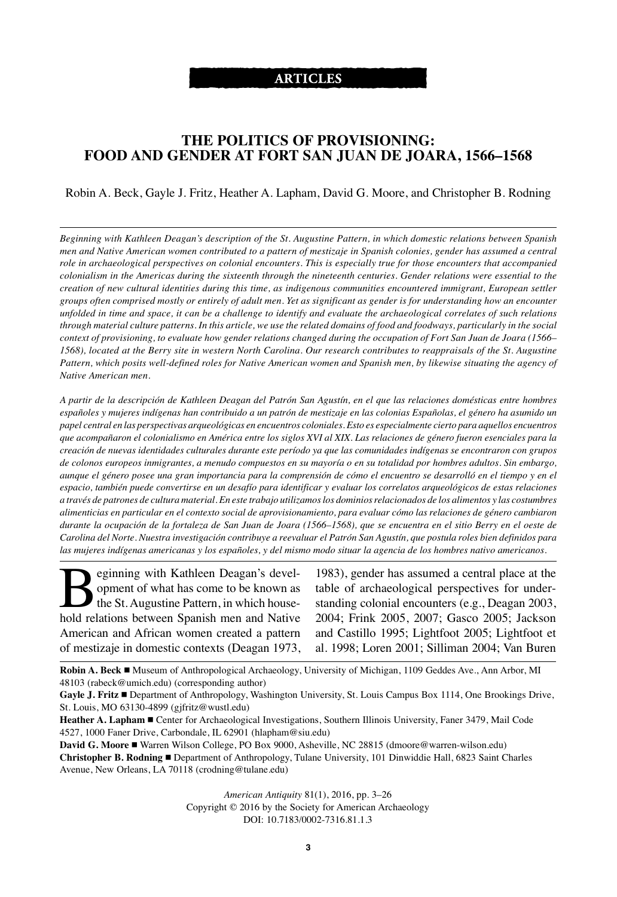# **ARTICLES**

# **THE POLITICS OF PROVISIONING: FOOD AND GENDER AT FORT SAN JUAN DE JOARA, 1566–1568**

### Robin A. Beck, Gayle J. Fritz, Heather A. Lapham, David G. Moore, and Christopher B. Rodning

Beginning with Kathleen Deagan's description of the St. Augustine Pattern, in which domestic relations between Spanish men and Native American women contributed to a pattern of mestizaje in Spanish colonies, gender has assumed a central role in archaeological perspectives on colonial encounters. This is especially true for those encounters that accompanied colonialism in the Americas during the sixteenth through the nineteenth centuries. Gender relations were essential to the *creation of new cultural identities during this time, as indigenous communities encountered immigrant, European settler* groups often comprised mostly or entirely of adult men. Yet as significant as gender is for understanding how an encounter unfolded in time and space, it can be a challenge to identify and evaluate the archaeological correlates of such relations through material culture patterns. In this article, we use the related domains of food and foodways, particularly in the social context of provisioning, to evaluate how gender relations changed during the occupation of Fort San Juan de Joara (1566– 1568), located at the Berry site in western North Carolina. Our research contributes to reappraisals of the St. Augustine Pattern, which posits well-defined roles for Native American women and Spanish men, by likewise situating the agency of *Native American men.*

A partir de la descripción de Kathleen Deagan del Patrón San Agustín, en el que las relaciones domésticas entre hombres españoles y mujeres indígenas han contribuido a un patrón de mestizaje en las colonias Españolas, el género ha asumido un papel central en las perspectivas arqueológicas en encuentros coloniales. Esto es especialmente cierto para aquellos encuentros que acompañaron el colonialismo en América entre los siglos XVI al XIX. Las relaciones de género fueron esenciales para la creación de nuevas identidades culturales durante este período ya que las comunidades indígenas se encontraron con grupos de colonos europeos inmigrantes, a menudo compuestos en su mayoría o en su totalidad por hombres adultos. Sin embargo, aunque el género posee una gran importancia para la comprensión de cómo el encuentro se desarrolló en el tiempo y en el espacio, también puede convertirse en un desafío para identificar y evaluar los correlatos arqueológicos de estas relaciones a través de patrones de cultura material. En este trabajo utilizamos los dominios relacionados de los alimentos y las costumbres alimenticias en particular en el contexto social de aprovisionamiento, para evaluar cómo las relaciones de género cambiaron durante la ocupación de la fortaleza de San Juan de Joara (1566–1568), que se encuentra en el sitio Berry en el oeste de Carolina del Norte. Nuestra investigación contribuye a reevaluar el Patrón San Agustín, que postula roles bien definidos para las mujeres indígenas americanas y los españoles, y del mismo modo situar la agencia de los hombres nativo americanos.

**B**eginning with Kathleen Deagan's devel-<br>opment of what has come to be known as<br>the St. Augustine Pattern, in which house-<br>hold relations between Spanish men and Native opment of what has come to be known as the St. Augustine Pattern, in which household relations between Spanish men and Native American and African women created a pattern of mestizaje in domestic contexts (Deagan 1973,

1983), gender has assumed a central place at the table of archaeological perspectives for understanding colonial encounters (e.g., Deagan 2003, 2004; Frink 2005, 2007; Gasco 2005; Jackson and Castillo 1995; Lightfoot 2005; Lightfoot et al. 1998; Loren 2001; Silliman 2004; Van Buren

**Robin A. Beck** Museum of Anthropological Archaeology, University of Michigan, 1109 Geddes Ave., Ann Arbor, MI 48103 (rabeck@umich.edu) (corresponding author)

**Gayle J. Fritz** Department of Anthropology, Washington University, St. Louis Campus Box 1114, One Brookings Drive, St. Louis, MO 63130-4899 (gjfritz@wustl.edu)

**David G. Moore** Warren Wilson College, PO Box 9000, Asheville, NC 28815 (dmoore@warren-wilson.edu) **Christopher B. Rodning** Department of Anthropology, Tulane University, 101 Dinwiddie Hall, 6823 Saint Charles Avenue, New Orleans, LA 70118 (crodning@tulane.edu)

> *American Antiquity* 81(1), 2016, pp. 3–26 Copyright © 2016 by the Society for American Archaeology DOI: 10.7183/0002-7316.81.1.3

**Heather A. Lapham** Center for Archaeological Investigations, Southern Illinois University, Faner 3479, Mail Code 4527, 1000 Faner Drive, Carbondale, IL 62901 (hlapham@siu.edu)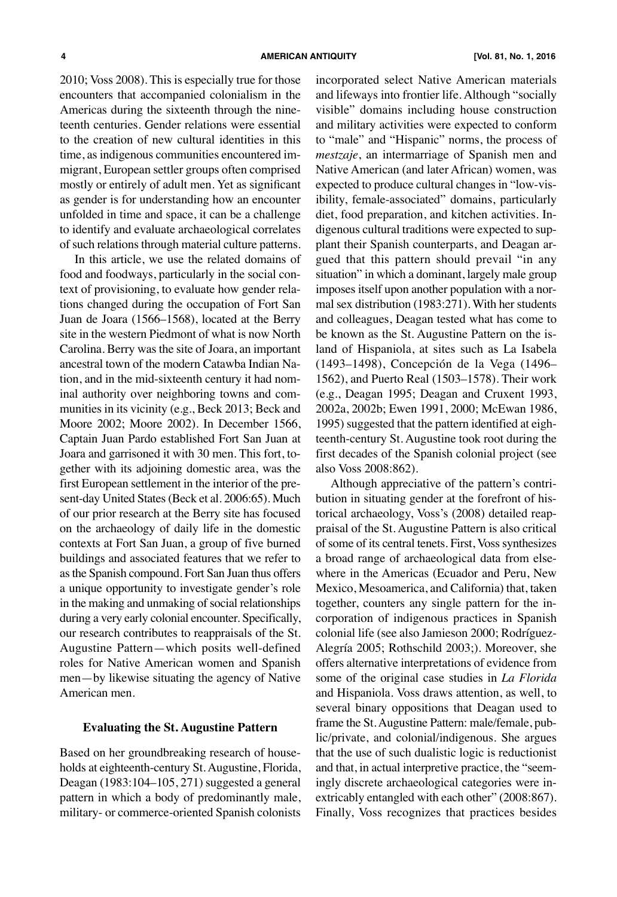2010; Voss 2008). This is especially true for those encounters that accompanied colonialism in the Americas during the sixteenth through the nineteenth centuries. Gender relations were essential to the creation of new cultural identities in this time, as indigenous communities encountered immigrant, European settler groups often comprised mostly or entirely of adult men. Yet as significant as gender is for understanding how an encounter unfolded in time and space, it can be a challenge to identify and evaluate archaeological correlates of such relations through material culture patterns.

In this article, we use the related domains of food and foodways, particularly in the social context of provisioning, to evaluate how gender relations changed during the occupation of Fort San Juan de Joara (1566–1568), located at the Berry site in the western Piedmont of what is now North Carolina. Berry was the site of Joara, an important ancestral town of the modern Catawba Indian Nation, and in the mid-sixteenth century it had nominal authority over neighboring towns and communities in its vicinity (e.g., Beck 2013; Beck and Moore 2002; Moore 2002). In December 1566, Captain Juan Pardo established Fort San Juan at Joara and garrisoned it with 30 men. This fort, together with its adjoining domestic area, was the first European settlement in the interior of the present-day United States (Beck et al. 2006:65). Much of our prior research at the Berry site has focused on the archaeology of daily life in the domestic contexts at Fort San Juan, a group of five burned buildings and associated features that we refer to asthe Spanish compound. Fort San Juan thus offers a unique opportunity to investigate gender's role in the making and unmaking of social relationships during a very early colonial encounter. Specifically, our research contributes to reappraisals of the St. Augustine Pattern—which posits well-defined roles for Native American women and Spanish men—by likewise situating the agency of Native American men.

#### **Evaluating the St. Augustine Pattern**

Based on her groundbreaking research of households at eighteenth-century St.Augustine, Florida, Deagan (1983:104–105, 271) suggested a general pattern in which a body of predominantly male, military- or commerce-oriented Spanish colonists incorporated select Native American materials and lifeways into frontier life. Although "socially visible" domains including house construction and military activities were expected to conform to "male" and "Hispanic" norms, the process of *mestzaje*, an intermarriage of Spanish men and Native American (and later African) women, was expected to produce cultural changes in "low-visibility, female-associated" domains, particularly diet, food preparation, and kitchen activities. Indigenous cultural traditions were expected to supplant their Spanish counterparts, and Deagan argued that this pattern should prevail "in any situation" in which a dominant, largely male group imposes itself upon another population with a normal sex distribution (1983:271). With her students and colleagues, Deagan tested what has come to be known as the St. Augustine Pattern on the island of Hispaniola, at sites such as La Isabela (1493–1498), Concepción de la Vega (1496– 1562), and Puerto Real (1503–1578). Their work (e.g., Deagan 1995; Deagan and Cruxent 1993, 2002a, 2002b; Ewen 1991, 2000; McEwan 1986, 1995) suggested that the pattern identified at eighteenth-century St. Augustine took root during the first decades of the Spanish colonial project (see also Voss 2008:862).

Although appreciative of the pattern's contribution in situating gender at the forefront of historical archaeology, Voss's (2008) detailed reappraisal of the St. Augustine Pattern is also critical of some of its central tenets. First, Voss synthesizes a broad range of archaeological data from elsewhere in the Americas (Ecuador and Peru, New Mexico, Mesoamerica, and California) that, taken together, counters any single pattern for the incorporation of indigenous practices in Spanish colonial life (see also Jamieson 2000; Rodríguez-Alegría 2005; Rothschild 2003;). Moreover, she offers alternative interpretations of evidence from some of the original case studies in *La Florida* and Hispaniola. Voss draws attention, as well, to several binary oppositions that Deagan used to frame the St.Augustine Pattern: male/female, public/private, and colonial/indigenous. She argues that the use of such dualistic logic is reductionist and that, in actual interpretive practice, the "seemingly discrete archaeological categories were inextricably entangled with each other" (2008:867). Finally, Voss recognizes that practices besides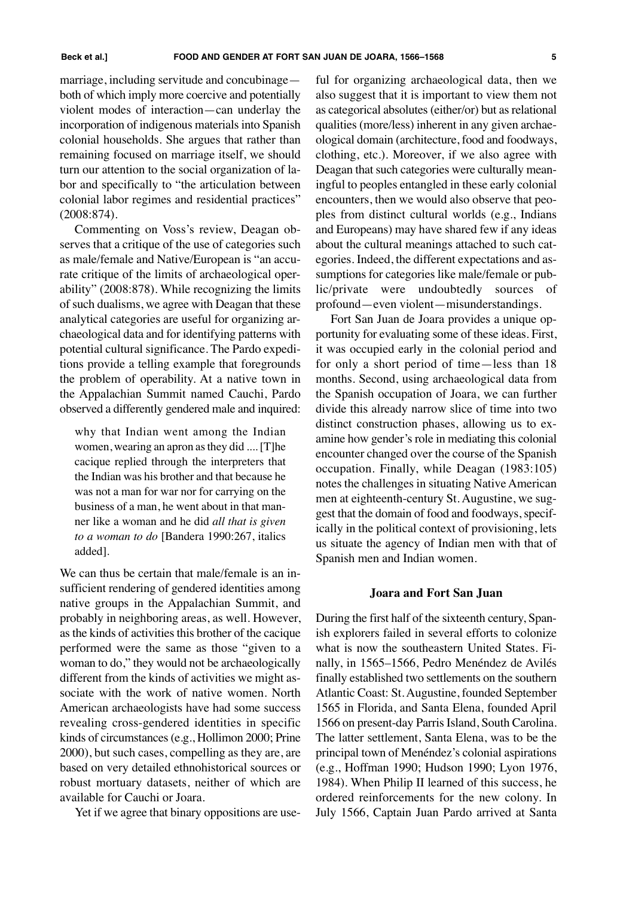marriage, including servitude and concubinage both of which imply more coercive and potentially violent modes of interaction—can underlay the incorporation of indigenous materials into Spanish colonial households. She argues that rather than remaining focused on marriage itself, we should turn our attention to the social organization of labor and specifically to "the articulation between colonial labor regimes and residential practices" (2008:874).

Commenting on Voss's review, Deagan observes that a critique of the use of categories such as male/female and Native/European is "an accurate critique of the limits of archaeological operability" (2008:878). While recognizing the limits of such dualisms, we agree with Deagan that these analytical categories are useful for organizing archaeological data and for identifying patterns with potential cultural significance. The Pardo expeditions provide a telling example that foregrounds the problem of operability. At a native town in the Appalachian Summit named Cauchi, Pardo observed a differently gendered male and inquired:

why that Indian went among the Indian women, wearing an apron asthey did ....[T]he cacique replied through the interpreters that the Indian was his brother and that because he was not a man for war nor for carrying on the business of a man, he went about in that manner like a woman and he did *all that is given to a woman to do* [Bandera 1990:267, italics added].

We can thus be certain that male/female is an insufficient rendering of gendered identities among native groups in the Appalachian Summit, and probably in neighboring areas, as well. However, as the kinds of activities this brother of the cacique performed were the same as those "given to a woman to do," they would not be archaeologically different from the kinds of activities we might associate with the work of native women. North American archaeologists have had some success revealing cross-gendered identities in specific kinds of circumstances(e.g., Hollimon 2000; Prine 2000), but such cases, compelling as they are, are based on very detailed ethnohistorical sources or robust mortuary datasets, neither of which are available for Cauchi or Joara.

Yet if we agree that binary oppositions are use-

ful for organizing archaeological data, then we also suggest that it is important to view them not as categorical absolutes (either/or) but as relational qualities (more/less) inherent in any given archaeological domain (architecture, food and foodways, clothing, etc.). Moreover, if we also agree with Deagan that such categories were culturally meaningful to peoples entangled in these early colonial encounters, then we would also observe that peoples from distinct cultural worlds (e.g., Indians and Europeans) may have shared few if any ideas about the cultural meanings attached to such categories. Indeed, the different expectations and assumptions for categories like male/female or public/private were undoubtedly sources of profound—even violent—misunderstandings.

Fort San Juan de Joara provides a unique opportunity for evaluating some of these ideas. First, it was occupied early in the colonial period and for only a short period of time—less than 18 months. Second, using archaeological data from the Spanish occupation of Joara, we can further divide this already narrow slice of time into two distinct construction phases, allowing us to examine how gender's role in mediating this colonial encounter changed over the course of the Spanish occupation. Finally, while Deagan (1983:105) notes the challenges in situating Native American men at eighteenth-century St. Augustine, we suggest that the domain of food and foodways, specifically in the political context of provisioning, lets us situate the agency of Indian men with that of Spanish men and Indian women.

#### **Joara and Fort San Juan**

During the first half of the sixteenth century, Spanish explorers failed in several efforts to colonize what is now the southeastern United States. Finally, in 1565–1566, Pedro Menéndez de Avilés finally established two settlements on the southern Atlantic Coast: St.Augustine, founded September 1565 in Florida, and Santa Elena, founded April 1566 on present-day Parris Island, South Carolina. The latter settlement, Santa Elena, was to be the principal town of Menéndez's colonial aspirations (e.g., Hoffman 1990; Hudson 1990; Lyon 1976, 1984). When Philip II learned of this success, he ordered reinforcements for the new colony. In July 1566, Captain Juan Pardo arrived at Santa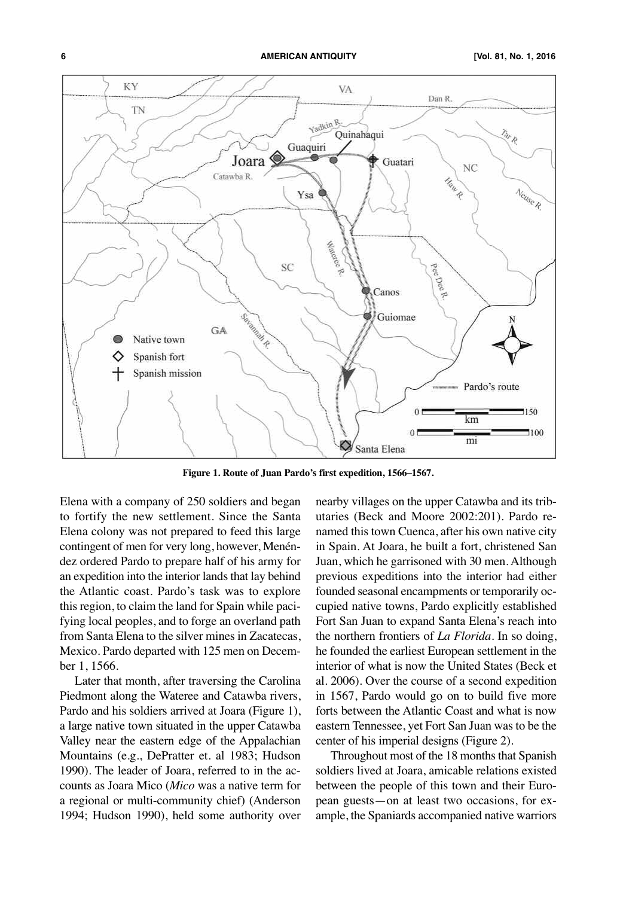

**Figure 1. Route of Juan Pardo's first expedition, 1566–1567.**

Elena with a company of 250 soldiers and began to fortify the new settlement. Since the Santa Elena colony was not prepared to feed this large contingent of men for very long, however, Menéndez ordered Pardo to prepare half of his army for an expedition into the interior lands that lay behind the Atlantic coast. Pardo's task was to explore this region, to claim the land for Spain while pacifying local peoples, and to forge an overland path from Santa Elena to the silver mines in Zacatecas, Mexico. Pardo departed with 125 men on December 1, 1566.

Later that month, after traversing the Carolina Piedmont along the Wateree and Catawba rivers, Pardo and his soldiers arrived at Joara (Figure 1), a large native town situated in the upper Catawba Valley near the eastern edge of the Appalachian Mountains (e.g., DePratter et. al 1983; Hudson 1990). The leader of Joara, referred to in the accounts as Joara Mico (*Mico* was a native term for a regional or multi-community chief) (Anderson 1994; Hudson 1990), held some authority over

nearby villages on the upper Catawba and its tributaries (Beck and Moore 2002:201). Pardo renamed this town Cuenca, after his own native city in Spain. At Joara, he built a fort, christened San Juan, which he garrisoned with 30 men. Although previous expeditions into the interior had either founded seasonal encampments or temporarily occupied native towns, Pardo explicitly established Fort San Juan to expand Santa Elena's reach into the northern frontiers of *La Florida*. In so doing, he founded the earliest European settlement in the interior of what is now the United States (Beck et al. 2006). Over the course of a second expedition in 1567, Pardo would go on to build five more forts between the Atlantic Coast and what is now eastern Tennessee, yet Fort San Juan was to be the center of his imperial designs (Figure 2).

Throughout most of the 18 months that Spanish soldiers lived at Joara, amicable relations existed between the people of this town and their European guests—on at least two occasions, for example, the Spaniards accompanied native warriors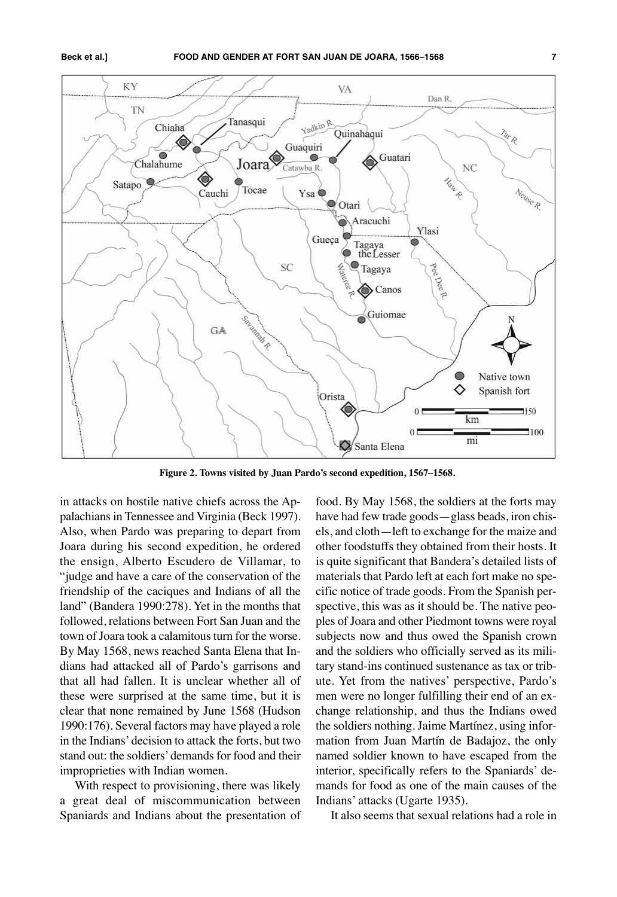

**Figure 2. Towns visited by Juan Pardo's second expedition, 1567–1568.**

in attacks on hostile native chiefs across the Appalachians in Tennessee and Virginia (Beck 1997). Also, when Pardo was preparing to depart from Joara during his second expedition, he ordered the ensign, Alberto Escudero de Villamar, to "judge and have a care of the conservation of the friendship of the caciques and Indians of all the land" (Bandera 1990:278). Yet in the months that followed, relations between Fort San Juan and the town of Joara took a calamitous turn for the worse. By May 1568, news reached Santa Elena that Indians had attacked all of Pardo's garrisons and that all had fallen. It is unclear whether all of these were surprised at the same time, but it is clear that none remained by June 1568 (Hudson 1990:176). Several factors may have played a role in the Indians' decision to attack the forts, but two stand out: the soldiers'demands for food and their improprieties with Indian women.

With respect to provisioning, there was likely a great deal of miscommunication between Spaniards and Indians about the presentation of

food. By May 1568, the soldiers at the forts may have had few trade goods—glass beads, iron chisels, and cloth—left to exchange for the maize and other foodstuffs they obtained from their hosts. It is quite significant that Bandera's detailed lists of materials that Pardo left at each fort make no specific notice of trade goods. From the Spanish perspective, this was as it should be. The native peoples of Joara and other Piedmont towns were royal subjects now and thus owed the Spanish crown and the soldiers who officially served as its military stand-ins continued sustenance as tax or tribute. Yet from the natives' perspective, Pardo's men were no longer fulfilling their end of an exchange relationship, and thus the Indians owed the soldiers nothing. Jaime Martínez, using information from Juan Martín de Badajoz, the only named soldier known to have escaped from the interior, specifically refers to the Spaniards' demands for food as one of the main causes of the Indians' attacks (Ugarte 1935).

It also seems that sexual relations had a role in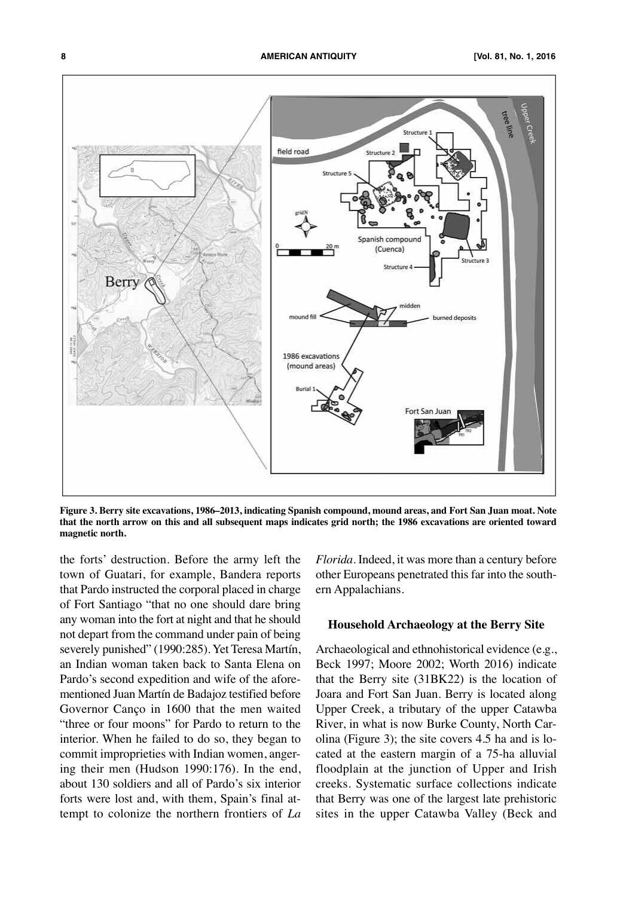

Figure 3. Berry site excavations, 1986–2013, indicating Spanish compound, mound areas, and Fort San Juan moat. Note that the north arrow on this and all subsequent maps indicates grid north; the 1986 excavations are oriented toward **magnetic north.**

the forts' destruction. Before the army left the town of Guatari, for example, Bandera reports that Pardo instructed the corporal placed in charge of Fort Santiago "that no one should dare bring any woman into the fort at night and that he should not depart from the command under pain of being severely punished" (1990:285). Yet Teresa Martín, an Indian woman taken back to Santa Elena on Pardo's second expedition and wife of the aforementioned Juan Martín de Badajoz testified before Governor Canço in 1600 that the men waited "three or four moons" for Pardo to return to the interior. When he failed to do so, they began to commit improprieties with Indian women, angering their men (Hudson 1990:176). In the end, about 130 soldiers and all of Pardo's six interior forts were lost and, with them, Spain's final attempt to colonize the northern frontiers of *La*

*Florida*. Indeed, it was more than a century before other Europeans penetrated this far into the southern Appalachians.

#### **Household Archaeology at the Berry Site**

Archaeological and ethnohistorical evidence (e.g., Beck 1997; Moore 2002; Worth 2016) indicate that the Berry site (31BK22) is the location of Joara and Fort San Juan. Berry is located along Upper Creek, a tributary of the upper Catawba River, in what is now Burke County, North Carolina (Figure 3); the site covers 4.5 ha and is located at the eastern margin of a 75-ha alluvial floodplain at the junction of Upper and Irish creeks. Systematic surface collections indicate that Berry was one of the largest late prehistoric sites in the upper Catawba Valley (Beck and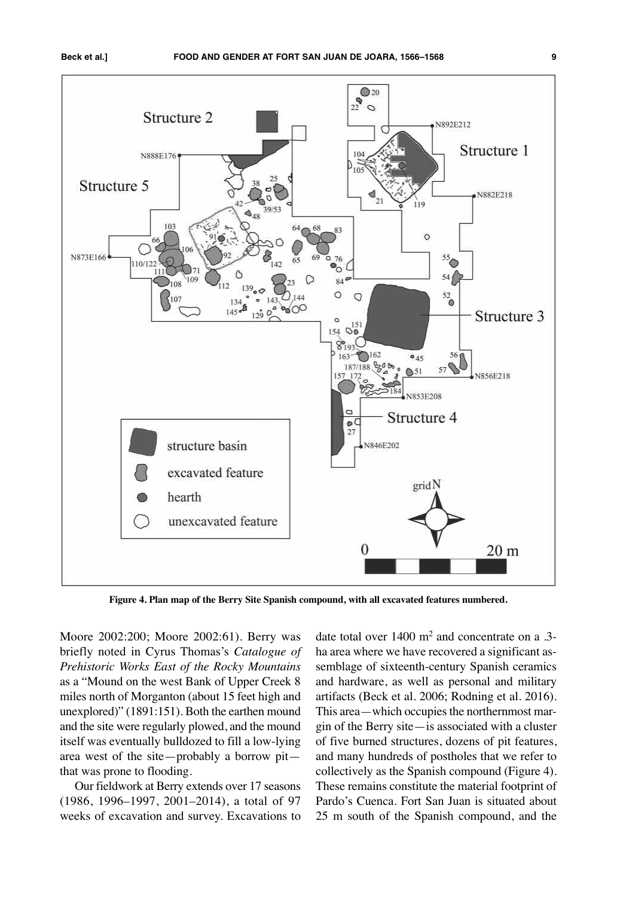

**Figure 4. Plan map of the Berry Site Spanish compound, with all excavated features numbered.**

Moore 2002:200; Moore 2002:61). Berry was briefly noted in Cyrus Thomas's *Catalogue of Prehistoric Works East of the Rocky Mountains* as a "Mound on the west Bank of Upper Creek 8 miles north of Morganton (about 15 feet high and unexplored)" (1891:151). Both the earthen mound and the site were regularly plowed, and the mound itself was eventually bulldozed to fill a low-lying area west of the site—probably a borrow pit that was prone to flooding.

Our fieldwork at Berry extends over 17 seasons (1986, 1996–1997, 2001–2014), a total of 97 weeks of excavation and survey. Excavations to

date total over 1400 m2 and concentrate on a .3 ha area where we have recovered a significant assemblage of sixteenth-century Spanish ceramics and hardware, as well as personal and military artifacts (Beck et al. 2006; Rodning et al. 2016). This area—which occupies the northernmost margin of the Berry site—is associated with a cluster of five burned structures, dozens of pit features, and many hundreds of postholes that we refer to collectively as the Spanish compound (Figure 4). These remains constitute the material footprint of Pardo's Cuenca. Fort San Juan is situated about 25 m south of the Spanish compound, and the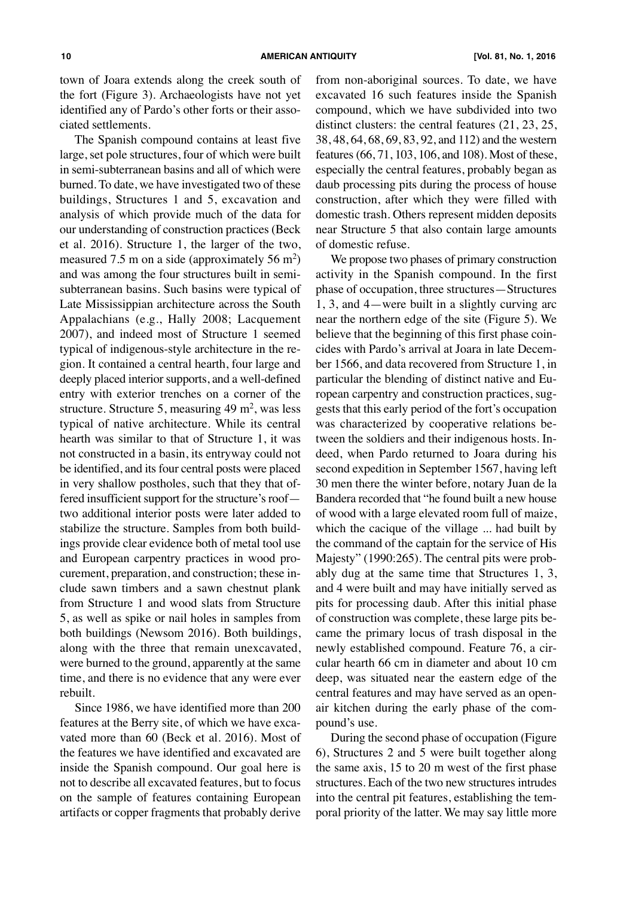town of Joara extends along the creek south of the fort (Figure 3). Archaeologists have not yet identified any of Pardo's other forts or their associated settlements.

The Spanish compound contains at least five large, set pole structures, four of which were built in semi-subterranean basins and all of which were burned. To date, we have investigated two of these buildings, Structures 1 and 5, excavation and analysis of which provide much of the data for our understanding of construction practices (Beck et al. 2016). Structure 1, the larger of the two, measured 7.5 m on a side (approximately 56 m<sup>2</sup>) and was among the four structures built in semisubterranean basins. Such basins were typical of Late Mississippian architecture across the South Appalachians (e.g., Hally 2008; Lacquement 2007), and indeed most of Structure 1 seemed typical of indigenous-style architecture in the region. It contained a central hearth, four large and deeply placed interior supports, and a well-defined entry with exterior trenches on a corner of the structure. Structure 5, measuring  $49 \text{ m}^2$ , was less typical of native architecture. While its central hearth was similar to that of Structure 1, it was not constructed in a basin, its entryway could not be identified, and its four central posts were placed in very shallow postholes, such that they that offered insufficient support for the structure's roof two additional interior posts were later added to stabilize the structure. Samples from both buildings provide clear evidence both of metal tool use and European carpentry practices in wood procurement, preparation, and construction; these include sawn timbers and a sawn chestnut plank from Structure 1 and wood slats from Structure 5, as well as spike or nail holes in samples from both buildings (Newsom 2016). Both buildings, along with the three that remain unexcavated, were burned to the ground, apparently at the same time, and there is no evidence that any were ever rebuilt.

Since 1986, we have identified more than 200 features at the Berry site, of which we have excavated more than 60 (Beck et al. 2016). Most of the features we have identified and excavated are inside the Spanish compound. Our goal here is not to describe all excavated features, but to focus on the sample of features containing European artifacts or copper fragments that probably derive

from non-aboriginal sources. To date, we have excavated 16 such features inside the Spanish compound, which we have subdivided into two distinct clusters: the central features (21, 23, 25, 38, 48, 64, 68, 69, 83, 92, and 112) and the western features(66, 71, 103, 106, and 108). Most of these, especially the central features, probably began as daub processing pits during the process of house construction, after which they were filled with domestic trash. Others represent midden deposits near Structure 5 that also contain large amounts of domestic refuse.

We propose two phases of primary construction activity in the Spanish compound. In the first phase of occupation, three structures—Structures 1, 3, and 4—were built in a slightly curving arc near the northern edge of the site (Figure 5). We believe that the beginning of this first phase coincides with Pardo's arrival at Joara in late December 1566, and data recovered from Structure 1, in particular the blending of distinct native and European carpentry and construction practices, suggests that this early period of the fort's occupation was characterized by cooperative relations between the soldiers and their indigenous hosts. Indeed, when Pardo returned to Joara during his second expedition in September 1567, having left 30 men there the winter before, notary Juan de la Bandera recorded that "he found built a new house of wood with a large elevated room full of maize, which the cacique of the village ... had built by the command of the captain for the service of His Majesty" (1990:265). The central pits were probably dug at the same time that Structures 1, 3, and 4 were built and may have initially served as pits for processing daub. After this initial phase of construction was complete, these large pits became the primary locus of trash disposal in the newly established compound. Feature 76, a circular hearth 66 cm in diameter and about 10 cm deep, was situated near the eastern edge of the central features and may have served as an openair kitchen during the early phase of the compound's use.

During the second phase of occupation (Figure 6), Structures 2 and 5 were built together along the same axis, 15 to 20 m west of the first phase structures. Each of the two new structures intrudes into the central pit features, establishing the temporal priority of the latter. We may say little more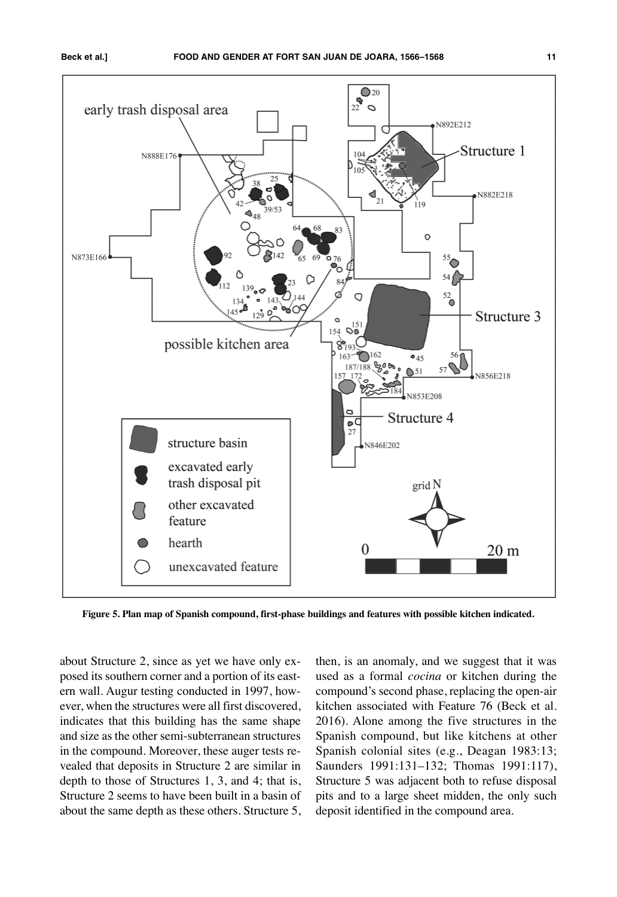

**Figure 5. Plan map of Spanish compound, first-phase buildings and features with possible kitchen indicated.**

about Structure 2, since as yet we have only exposed its southern corner and a portion of its eastern wall. Augur testing conducted in 1997, however, when the structures were all first discovered, indicates that this building has the same shape and size as the other semi-subterranean structures in the compound. Moreover, these auger tests revealed that deposits in Structure 2 are similar in depth to those of Structures 1, 3, and 4; that is, Structure 2 seems to have been built in a basin of about the same depth as these others. Structure 5, then, is an anomaly, and we suggest that it was used as a formal *cocina* or kitchen during the compound's second phase, replacing the open-air kitchen associated with Feature 76 (Beck et al. 2016). Alone among the five structures in the Spanish compound, but like kitchens at other Spanish colonial sites (e.g., Deagan 1983:13; Saunders 1991:131–132; Thomas 1991:117), Structure 5 was adjacent both to refuse disposal pits and to a large sheet midden, the only such deposit identified in the compound area.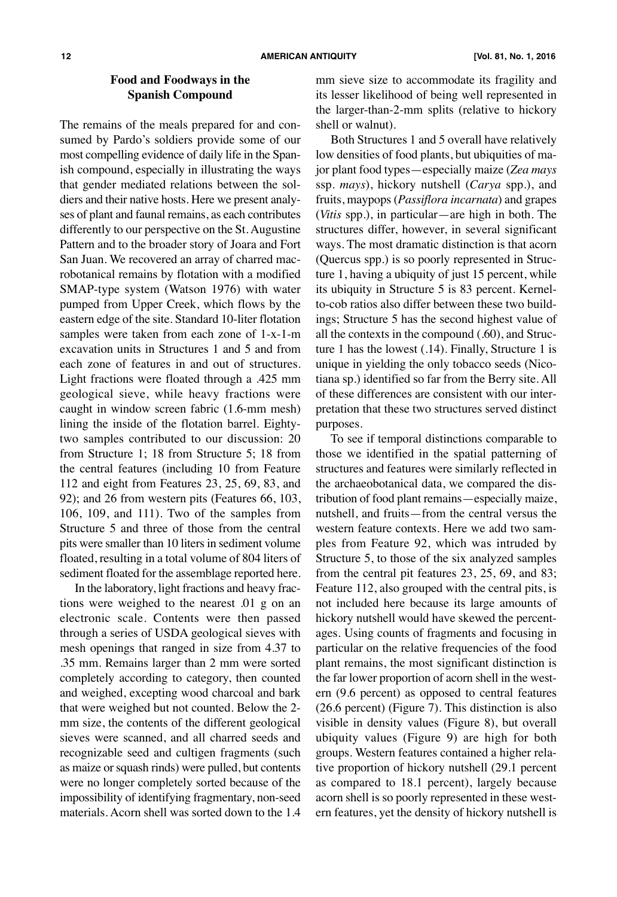## **Food and Foodways in the Spanish Compound**

The remains of the meals prepared for and consumed by Pardo's soldiers provide some of our most compelling evidence of daily life in the Spanish compound, especially in illustrating the ways that gender mediated relations between the soldiers and their native hosts. Here we present analyses of plant and faunal remains, as each contributes differently to our perspective on the St. Augustine Pattern and to the broader story of Joara and Fort San Juan. We recovered an array of charred macrobotanical remains by flotation with a modified SMAP-type system (Watson 1976) with water pumped from Upper Creek, which flows by the eastern edge of the site. Standard 10-liter flotation samples were taken from each zone of 1-x-1-m excavation units in Structures 1 and 5 and from each zone of features in and out of structures. Light fractions were floated through a .425 mm geological sieve, while heavy fractions were caught in window screen fabric (1.6-mm mesh) lining the inside of the flotation barrel. Eightytwo samples contributed to our discussion: 20 from Structure 1; 18 from Structure 5; 18 from the central features (including 10 from Feature 112 and eight from Features 23, 25, 69, 83, and 92); and 26 from western pits (Features 66, 103, 106, 109, and 111). Two of the samples from Structure 5 and three of those from the central pits were smaller than 10 liters in sediment volume floated, resulting in a total volume of 804 liters of sediment floated for the assemblage reported here.

In the laboratory, light fractions and heavy fractions were weighed to the nearest .01 g on an electronic scale. Contents were then passed through a series of USDA geological sieves with mesh openings that ranged in size from 4.37 to .35 mm. Remains larger than 2 mm were sorted completely according to category, then counted and weighed, excepting wood charcoal and bark that were weighed but not counted. Below the 2 mm size, the contents of the different geological sieves were scanned, and all charred seeds and recognizable seed and cultigen fragments (such as maize or squash rinds) were pulled, but contents were no longer completely sorted because of the impossibility of identifying fragmentary, non-seed materials. Acorn shell was sorted down to the 1.4 mm sieve size to accommodate its fragility and its lesser likelihood of being well represented in the larger-than-2-mm splits (relative to hickory shell or walnut).

Both Structures 1 and 5 overall have relatively low densities of food plants, but ubiquities of major plant food types—especially maize (*Zea mays* ssp. *mays*), hickory nutshell (*Carya* spp.), and fruits, maypops (*Passiflora incarnata*) and grapes (*Vitis* spp.), in particular—are high in both. The structures differ, however, in several significant ways. The most dramatic distinction is that acorn (Quercus spp.) is so poorly represented in Structure 1, having a ubiquity of just 15 percent, while its ubiquity in Structure 5 is 83 percent. Kernelto-cob ratios also differ between these two buildings; Structure 5 has the second highest value of all the contexts in the compound (.60), and Structure 1 has the lowest (.14). Finally, Structure 1 is unique in yielding the only tobacco seeds (Nicotiana sp.) identified so far from the Berry site. All of these differences are consistent with our interpretation that these two structures served distinct purposes.

To see if temporal distinctions comparable to those we identified in the spatial patterning of structures and features were similarly reflected in the archaeobotanical data, we compared the distribution of food plant remains—especially maize, nutshell, and fruits—from the central versus the western feature contexts. Here we add two samples from Feature 92, which was intruded by Structure 5, to those of the six analyzed samples from the central pit features 23, 25, 69, and 83; Feature 112, also grouped with the central pits, is not included here because its large amounts of hickory nutshell would have skewed the percentages. Using counts of fragments and focusing in particular on the relative frequencies of the food plant remains, the most significant distinction is the far lower proportion of acorn shell in the western (9.6 percent) as opposed to central features (26.6 percent) (Figure 7). This distinction is also visible in density values (Figure 8), but overall ubiquity values (Figure 9) are high for both groups. Western features contained a higher relative proportion of hickory nutshell (29.1 percent as compared to 18.1 percent), largely because acorn shell is so poorly represented in these western features, yet the density of hickory nutshell is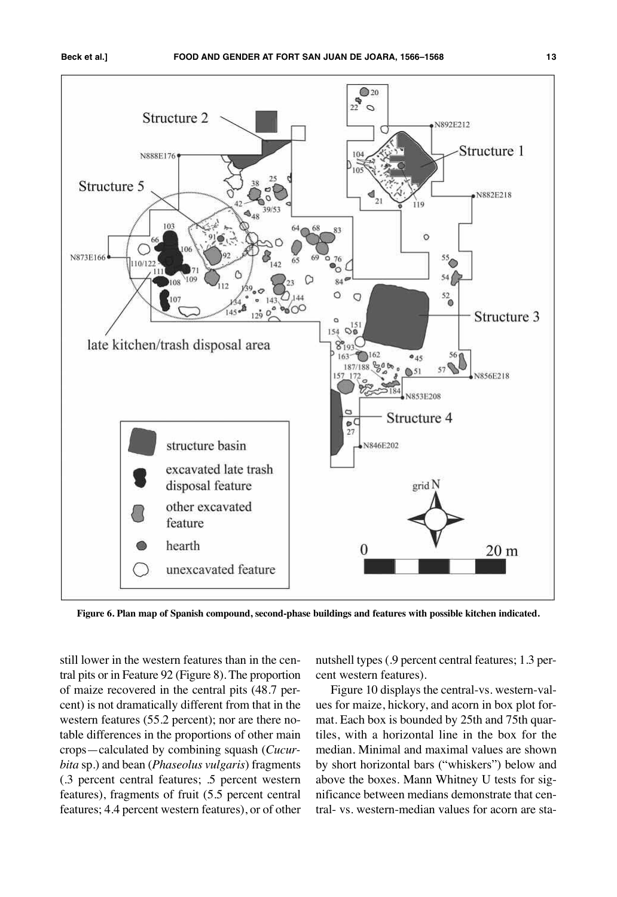



**Figure 6. Plan map of Spanish compound, second-phase buildings and features with possible kitchen indicated.**

still lower in the western features than in the central pits or in Feature 92 (Figure 8). The proportion of maize recovered in the central pits (48.7 percent) is not dramatically different from that in the western features (55.2 percent); nor are there notable differences in the proportions of other main crops—calculated by combining squash (*Cucurbita* sp.) and bean (*Phaseolus vulgaris*) fragments (.3 percent central features; .5 percent western features), fragments of fruit (5.5 percent central features; 4.4 percent western features), or of other

nutshell types (.9 percent central features; 1.3 percent western features).

Figure 10 displays the central-vs. western-values for maize, hickory, and acorn in box plot format. Each box is bounded by 25th and 75th quartiles, with a horizontal line in the box for the median. Minimal and maximal values are shown by short horizontal bars ("whiskers") below and above the boxes. Mann Whitney U tests for significance between medians demonstrate that central- vs. western-median values for acorn are sta-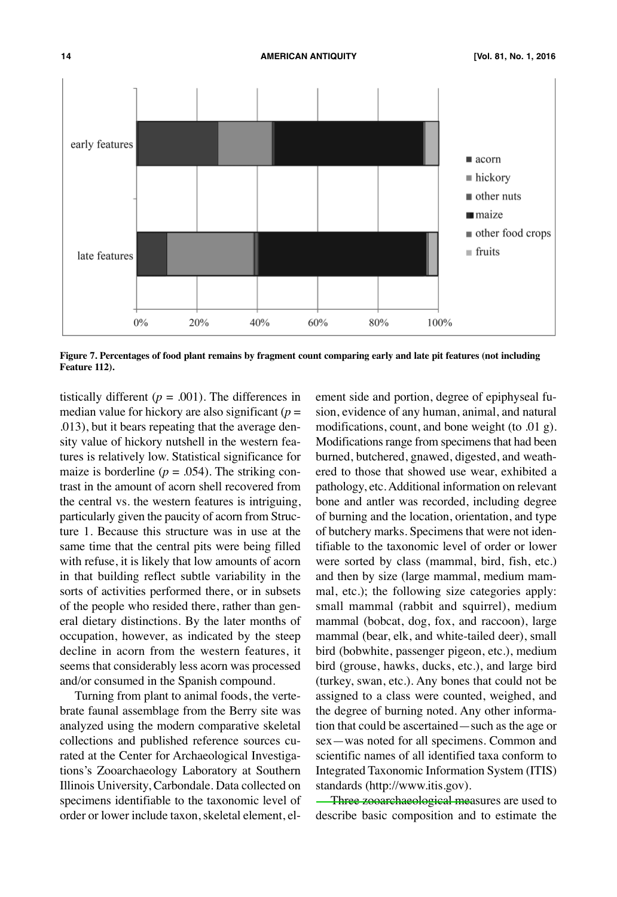

Figure 7. Percentages of food plant remains by fragment count comparing early and late pit features (not including **Feature 112).**

tistically different ( $p = .001$ ). The differences in median value for hickory are also significant  $(p =$ .013), but it bears repeating that the average density value of hickory nutshell in the western features is relatively low. Statistical significance for maize is borderline  $(p = .054)$ . The striking contrast in the amount of acorn shell recovered from the central vs. the western features is intriguing, particularly given the paucity of acorn from Structure 1. Because this structure was in use at the same time that the central pits were being filled with refuse, it is likely that low amounts of acorn in that building reflect subtle variability in the sorts of activities performed there, or in subsets of the people who resided there, rather than general dietary distinctions. By the later months of occupation, however, as indicated by the steep decline in acorn from the western features, it seems that considerably less acorn was processed and/or consumed in the Spanish compound.

Turning from plant to animal foods, the vertebrate faunal assemblage from the Berry site was analyzed using the modern comparative skeletal collections and published reference sources curated at the Center for Archaeological Investigations's Zooarchaeology Laboratory at Southern Illinois University, Carbondale. Data collected on specimens identifiable to the taxonomic level of order or lower include taxon, skeletal element, element side and portion, degree of epiphyseal fusion, evidence of any human, animal, and natural modifications, count, and bone weight (to .01 g). Modifications range from specimens that had been burned, butchered, gnawed, digested, and weathered to those that showed use wear, exhibited a pathology, etc.Additional information on relevant bone and antler was recorded, including degree of burning and the location, orientation, and type of butchery marks. Specimens that were not identifiable to the taxonomic level of order or lower were sorted by class (mammal, bird, fish, etc.) and then by size (large mammal, medium mammal, etc.); the following size categories apply: small mammal (rabbit and squirrel), medium mammal (bobcat, dog, fox, and raccoon), large mammal (bear, elk, and white-tailed deer), small bird (bobwhite, passenger pigeon, etc.), medium bird (grouse, hawks, ducks, etc.), and large bird (turkey, swan, etc.). Any bones that could not be assigned to a class were counted, weighed, and the degree of burning noted. Any other information that could be ascertained—such as the age or sex—was noted for all specimens. Common and scientific names of all identified taxa conform to Integrated Taxonomic Information System (ITIS) standards [\(http://www.itis.gov\).](http://www.itis.gov)

Three zooarchaeological measures are used to describe basic composition and to estimate the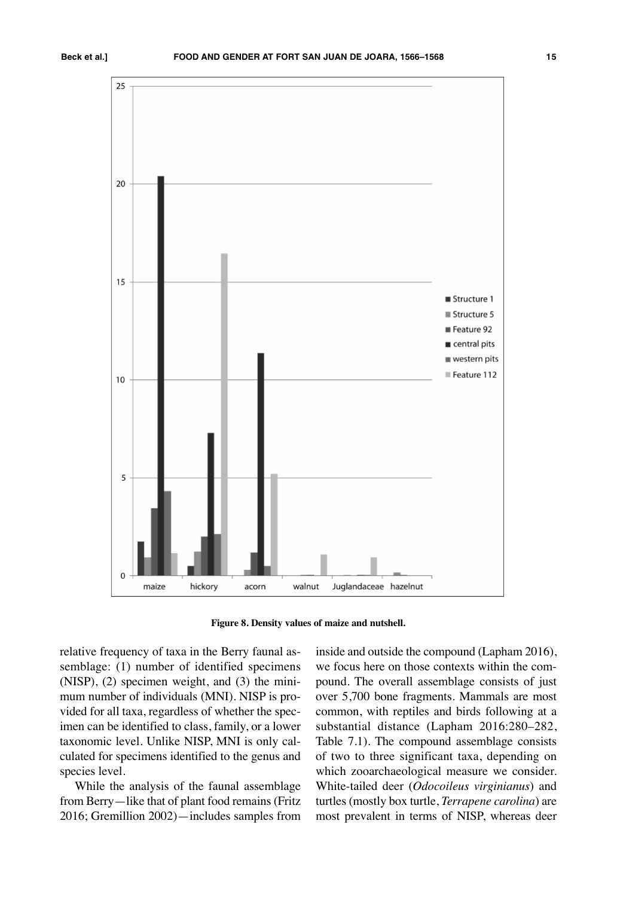

**Figure 8. Density values of maize and nutshell.**

relative frequency of taxa in the Berry faunal assemblage: (1) number of identified specimens (NISP), (2) specimen weight, and (3) the minimum number of individuals (MNI). NISP is provided for all taxa, regardless of whether the specimen can be identified to class, family, or a lower taxonomic level. Unlike NISP, MNI is only calculated for specimens identified to the genus and species level.

While the analysis of the faunal assemblage from Berry—like that of plant food remains (Fritz 2016; Gremillion 2002)—includes samples from

inside and outside the compound (Lapham 2016), we focus here on those contexts within the compound. The overall assemblage consists of just over 5,700 bone fragments. Mammals are most common, with reptiles and birds following at a substantial distance (Lapham 2016:280–282, Table 7.1). The compound assemblage consists of two to three significant taxa, depending on which zooarchaeological measure we consider. White-tailed deer (*Odocoileus virginianus*) and turtles (mostly box turtle, *Terrapene carolina*) are most prevalent in terms of NISP, whereas deer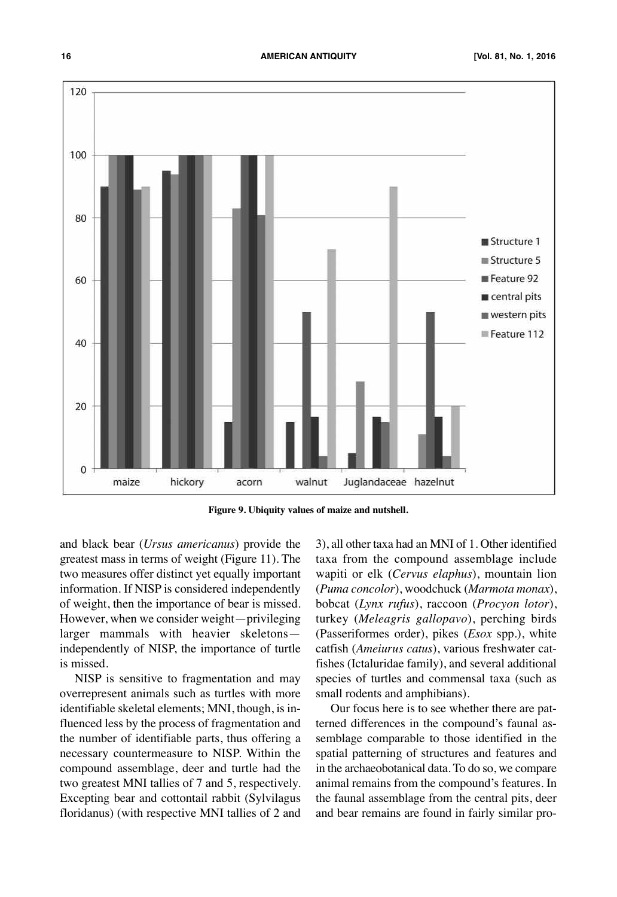

**Figure 9. Ubiquity values of maize and nutshell.**

and black bear (*Ursus americanus*) provide the greatest mass in terms of weight (Figure 11). The two measures offer distinct yet equally important information. If NISP is considered independently of weight, then the importance of bear is missed. However, when we consider weight—privileging larger mammals with heavier skeletons independently of NISP, the importance of turtle is missed.

NISP is sensitive to fragmentation and may overrepresent animals such as turtles with more identifiable skeletal elements; MNI, though, is influenced less by the process of fragmentation and the number of identifiable parts, thus offering a necessary countermeasure to NISP. Within the compound assemblage, deer and turtle had the two greatest MNI tallies of 7 and 5, respectively. Excepting bear and cottontail rabbit (Sylvilagus floridanus) (with respective MNI tallies of 2 and

3), all other taxa had an MNI of 1. Other identified taxa from the compound assemblage include wapiti or elk (*Cervus elaphus*), mountain lion (*Puma concolor*), woodchuck (*Marmota monax*), bobcat (*Lynx rufus*), raccoon (*Procyon lotor*), turkey (*Meleagris gallopavo*), perching birds (Passeriformes order), pikes (*Esox* spp.), white catfish (*Ameiurus catus*), various freshwater catfishes (Ictaluridae family), and several additional species of turtles and commensal taxa (such as small rodents and amphibians).

Our focus here is to see whether there are patterned differences in the compound's faunal assemblage comparable to those identified in the spatial patterning of structures and features and in the archaeobotanical data. To do so, we compare animal remains from the compound's features. In the faunal assemblage from the central pits, deer and bear remains are found in fairly similar pro-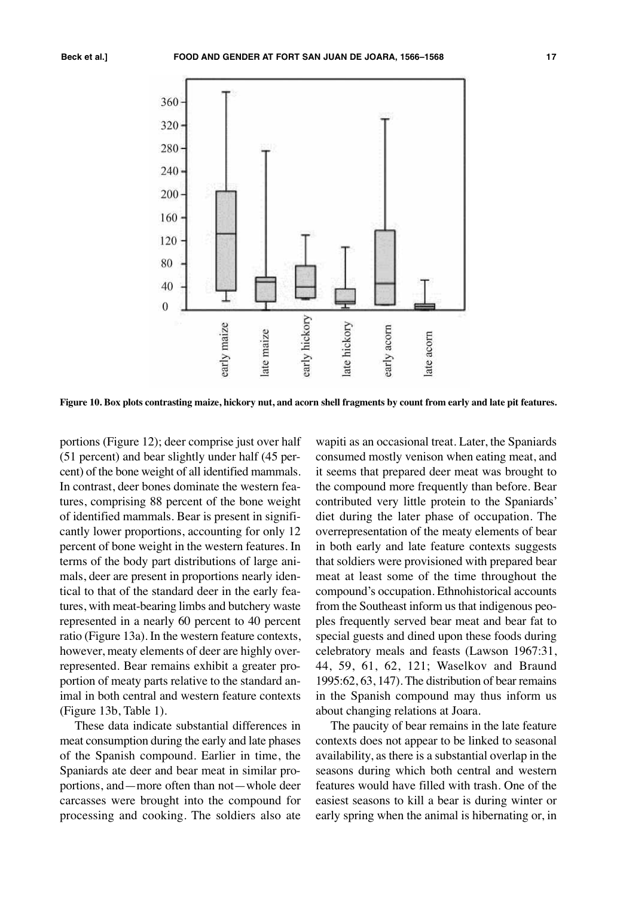



Figure 10. Box plots contrasting maize, hickory nut, and acorn shell fragments by count from early and late pit features.

portions (Figure 12); deer comprise just over half (51 percent) and bear slightly under half (45 percent) of the bone weight of all identified mammals. In contrast, deer bones dominate the western features, comprising 88 percent of the bone weight of identified mammals. Bear is present in significantly lower proportions, accounting for only 12 percent of bone weight in the western features. In terms of the body part distributions of large animals, deer are present in proportions nearly identical to that of the standard deer in the early features, with meat-bearing limbs and butchery waste represented in a nearly 60 percent to 40 percent ratio (Figure 13a). In the western feature contexts, however, meaty elements of deer are highly overrepresented. Bear remains exhibit a greater proportion of meaty parts relative to the standard animal in both central and western feature contexts (Figure 13b, Table 1).

These data indicate substantial differences in meat consumption during the early and late phases of the Spanish compound. Earlier in time, the Spaniards ate deer and bear meat in similar proportions, and—more often than not—whole deer carcasses were brought into the compound for processing and cooking. The soldiers also ate

wapiti as an occasional treat. Later, the Spaniards consumed mostly venison when eating meat, and it seems that prepared deer meat was brought to the compound more frequently than before. Bear contributed very little protein to the Spaniards' diet during the later phase of occupation. The overrepresentation of the meaty elements of bear in both early and late feature contexts suggests that soldiers were provisioned with prepared bear meat at least some of the time throughout the compound's occupation. Ethnohistorical accounts from the Southeast inform us that indigenous peoples frequently served bear meat and bear fat to special guests and dined upon these foods during celebratory meals and feasts (Lawson 1967:31, 44, 59, 61, 62, 121; Waselkov and Braund 1995:62, 63, 147). The distribution of bear remains in the Spanish compound may thus inform us about changing relations at Joara.

The paucity of bear remains in the late feature contexts does not appear to be linked to seasonal availability, as there is a substantial overlap in the seasons during which both central and western features would have filled with trash. One of the easiest seasons to kill a bear is during winter or early spring when the animal is hibernating or, in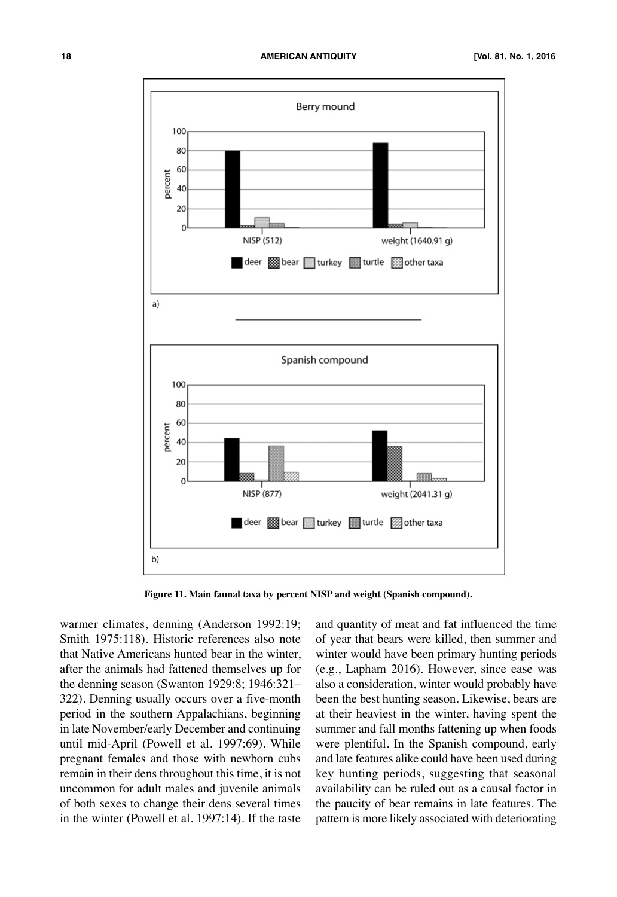

**Figure 11. Main faunal taxa by percent NISP and weight (Spanish compound).**

warmer climates, denning (Anderson 1992:19; Smith 1975:118). Historic references also note that Native Americans hunted bear in the winter, after the animals had fattened themselves up for the denning season (Swanton 1929:8; 1946:321– 322). Denning usually occurs over a five-month period in the southern Appalachians, beginning in late November/early December and continuing until mid-April (Powell et al. 1997:69). While pregnant females and those with newborn cubs remain in their dens throughout this time, it is not uncommon for adult males and juvenile animals of both sexes to change their dens several times in the winter (Powell et al. 1997:14). If the taste

and quantity of meat and fat influenced the time of year that bears were killed, then summer and winter would have been primary hunting periods (e.g., Lapham 2016). However, since ease was also a consideration, winter would probably have been the best hunting season. Likewise, bears are at their heaviest in the winter, having spent the summer and fall months fattening up when foods were plentiful. In the Spanish compound, early and late features alike could have been used during key hunting periods, suggesting that seasonal availability can be ruled out as a causal factor in the paucity of bear remains in late features. The pattern is more likely associated with deteriorating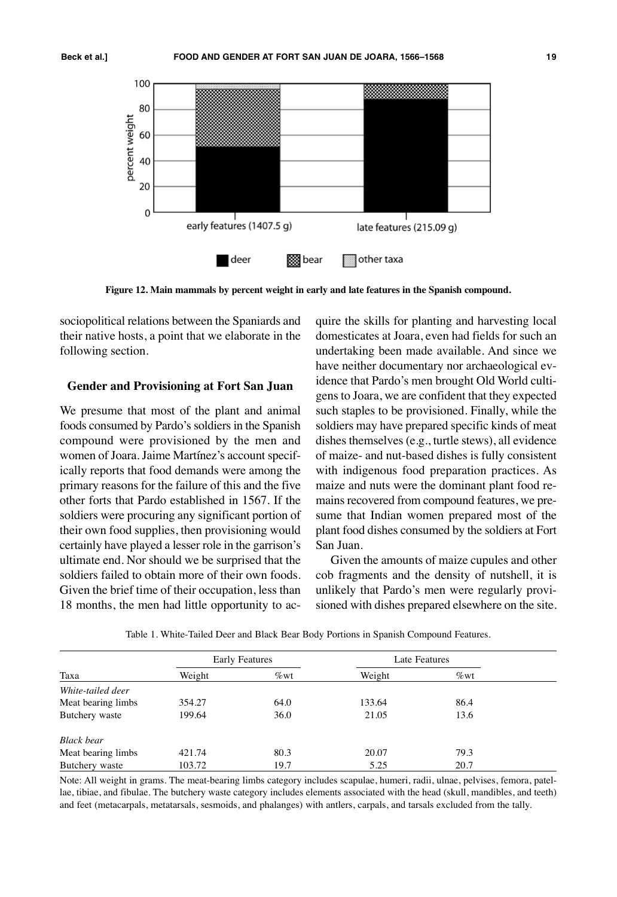

**Figure 12. Main mammals by percent weight in early and late features in the Spanish compound.**

sociopolitical relations between the Spaniards and their native hosts, a point that we elaborate in the following section.

#### **Gender and Provisioning at Fort San Juan**

We presume that most of the plant and animal foods consumed by Pardo's soldiers in the Spanish compound were provisioned by the men and women of Joara. Jaime Martínez's account specifically reports that food demands were among the primary reasons for the failure of this and the five other forts that Pardo established in 1567. If the soldiers were procuring any significant portion of their own food supplies, then provisioning would certainly have played a lesser role in the garrison's ultimate end. Nor should we be surprised that the soldiers failed to obtain more of their own foods. Given the brief time of their occupation, less than 18 months, the men had little opportunity to acquire the skills for planting and harvesting local domesticates at Joara, even had fields for such an undertaking been made available. And since we have neither documentary nor archaeological evidence that Pardo's men brought Old World cultigens to Joara, we are confident that they expected such staples to be provisioned. Finally, while the soldiers may have prepared specific kinds of meat dishes themselves (e.g., turtle stews), all evidence of maize- and nut-based dishes is fully consistent with indigenous food preparation practices. As maize and nuts were the dominant plant food remains recovered from compound features, we presume that Indian women prepared most of the plant food dishes consumed by the soldiers at Fort San Juan.

Given the amounts of maize cupules and other cob fragments and the density of nutshell, it is unlikely that Pardo's men were regularly provisioned with dishes prepared elsewhere on the site.

| Taxa               | <b>Early Features</b> |         | Late Features |         |  |
|--------------------|-----------------------|---------|---------------|---------|--|
|                    | Weight                | $\%$ wt | Weight        | $\%$ wt |  |
| White-tailed deer  |                       |         |               |         |  |
| Meat bearing limbs | 354.27                | 64.0    | 133.64        | 86.4    |  |
| Butchery waste     | 199.64                | 36.0    | 21.05         | 13.6    |  |
| <b>Black bear</b>  |                       |         |               |         |  |
| Meat bearing limbs | 421.74                | 80.3    | 20.07         | 79.3    |  |
| Butchery waste     | 103.72                | 19.7    | 5.25          | 20.7    |  |

Table 1. White-Tailed Deer and Black Bear Body Portions in Spanish Compound Features.

Note: All weight in grams. The meat-bearing limbs category includes scapulae, humeri, radii, ulnae, pelvises, femora, patellae, tibiae, and fibulae. The butchery waste category includes elements associated with the head (skull, mandibles, and teeth) and feet (metacarpals, metatarsals, sesmoids, and phalanges) with antlers, carpals, and tarsals excluded from the tally.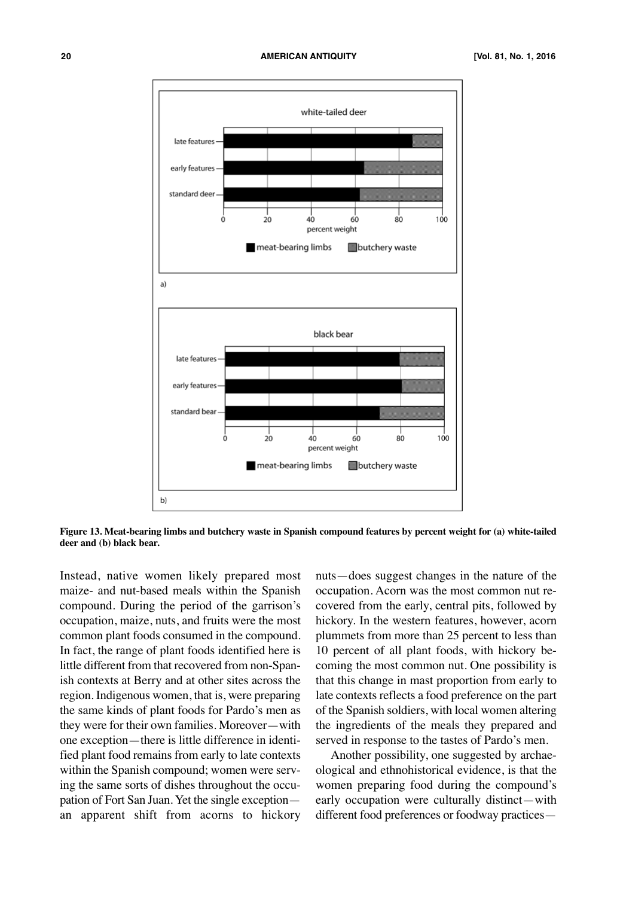

Figure 13. Meat-bearing limbs and butchery waste in Spanish compound features by percent weight for (a) white-tailed **deer and (b) black bear.**

Instead, native women likely prepared most maize- and nut-based meals within the Spanish compound. During the period of the garrison's occupation, maize, nuts, and fruits were the most common plant foods consumed in the compound. In fact, the range of plant foods identified here is little different from that recovered from non-Spanish contexts at Berry and at other sites across the region. Indigenous women, that is, were preparing the same kinds of plant foods for Pardo's men as they were for their own families. Moreover—with one exception—there is little difference in identified plant food remains from early to late contexts within the Spanish compound; women were serving the same sorts of dishes throughout the occupation of Fort San Juan. Yet the single exception an apparent shift from acorns to hickory

nuts—does suggest changes in the nature of the occupation. Acorn was the most common nut recovered from the early, central pits, followed by hickory. In the western features, however, acorn plummets from more than 25 percent to less than 10 percent of all plant foods, with hickory becoming the most common nut. One possibility is that this change in mast proportion from early to late contexts reflects a food preference on the part of the Spanish soldiers, with local women altering the ingredients of the meals they prepared and served in response to the tastes of Pardo's men.

Another possibility, one suggested by archaeological and ethnohistorical evidence, is that the women preparing food during the compound's early occupation were culturally distinct—with different food preferences or foodway practices—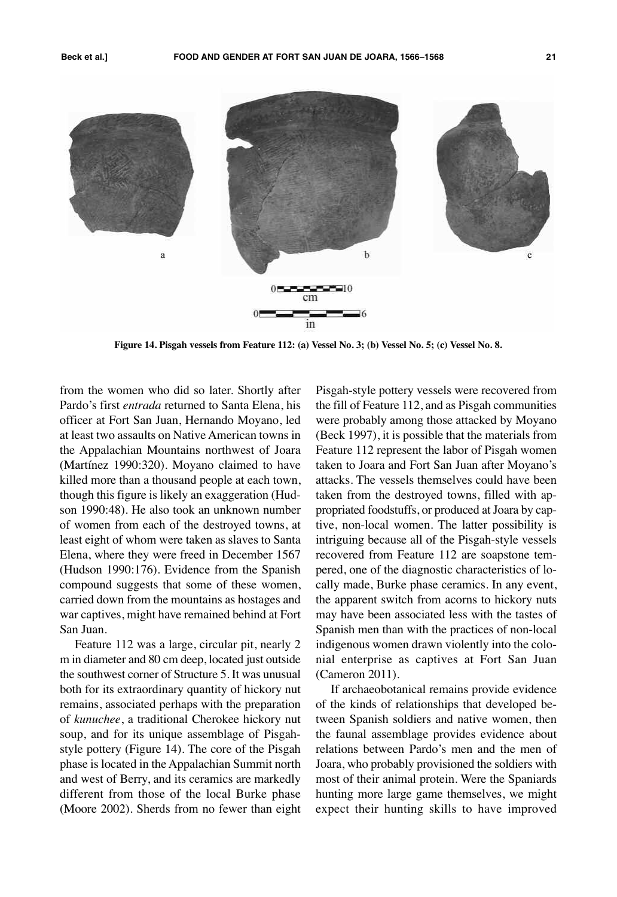

Figure 14. Pisgah vessels from Feature 112: (a) Vessel No. 3; (b) Vessel No. 5; (c) Vessel No. 8.

from the women who did so later. Shortly after Pardo's first *entrada* returned to Santa Elena, his officer at Fort San Juan, Hernando Moyano, led at least two assaults on Native American towns in the Appalachian Mountains northwest of Joara (Martínez 1990:320). Moyano claimed to have killed more than a thousand people at each town, though this figure is likely an exaggeration (Hudson 1990:48). He also took an unknown number of women from each of the destroyed towns, at least eight of whom were taken as slaves to Santa Elena, where they were freed in December 1567 (Hudson 1990:176). Evidence from the Spanish compound suggests that some of these women, carried down from the mountains as hostages and war captives, might have remained behind at Fort San Juan.

Feature 112 was a large, circular pit, nearly 2 m in diameter and 80 cm deep, located just outside the southwest corner of Structure 5. It was unusual both for its extraordinary quantity of hickory nut remains, associated perhaps with the preparation of *kunuchee*, a traditional Cherokee hickory nut soup, and for its unique assemblage of Pisgahstyle pottery (Figure 14). The core of the Pisgah phase is located in the Appalachian Summit north and west of Berry, and its ceramics are markedly different from those of the local Burke phase (Moore 2002). Sherds from no fewer than eight

Pisgah-style pottery vessels were recovered from the fill of Feature 112, and as Pisgah communities were probably among those attacked by Moyano (Beck 1997), it is possible that the materials from Feature 112 represent the labor of Pisgah women taken to Joara and Fort San Juan after Moyano's attacks. The vessels themselves could have been taken from the destroyed towns, filled with appropriated foodstuffs, or produced at Joara by captive, non-local women. The latter possibility is intriguing because all of the Pisgah-style vessels recovered from Feature 112 are soapstone tempered, one of the diagnostic characteristics of locally made, Burke phase ceramics. In any event, the apparent switch from acorns to hickory nuts may have been associated less with the tastes of Spanish men than with the practices of non-local indigenous women drawn violently into the colonial enterprise as captives at Fort San Juan (Cameron 2011).

If archaeobotanical remains provide evidence of the kinds of relationships that developed between Spanish soldiers and native women, then the faunal assemblage provides evidence about relations between Pardo's men and the men of Joara, who probably provisioned the soldiers with most of their animal protein. Were the Spaniards hunting more large game themselves, we might expect their hunting skills to have improved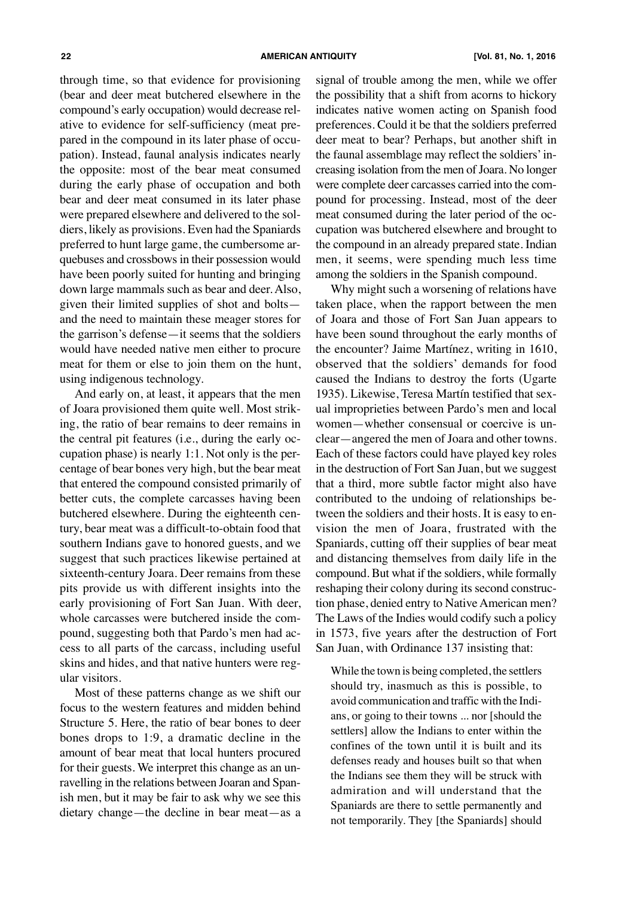through time, so that evidence for provisioning (bear and deer meat butchered elsewhere in the compound's early occupation) would decrease relative to evidence for self-sufficiency (meat prepared in the compound in its later phase of occupation). Instead, faunal analysis indicates nearly the opposite: most of the bear meat consumed during the early phase of occupation and both bear and deer meat consumed in its later phase were prepared elsewhere and delivered to the soldiers, likely as provisions. Even had the Spaniards preferred to hunt large game, the cumbersome arquebuses and crossbows in their possession would have been poorly suited for hunting and bringing down large mammals such as bear and deer. Also, given their limited supplies of shot and bolts and the need to maintain these meager stores for the garrison's defense—it seems that the soldiers would have needed native men either to procure meat for them or else to join them on the hunt, using indigenous technology.

And early on, at least, it appears that the men of Joara provisioned them quite well. Most striking, the ratio of bear remains to deer remains in the central pit features (i.e., during the early occupation phase) is nearly 1:1. Not only is the percentage of bear bones very high, but the bear meat that entered the compound consisted primarily of better cuts, the complete carcasses having been butchered elsewhere. During the eighteenth century, bear meat was a difficult-to-obtain food that southern Indians gave to honored guests, and we suggest that such practices likewise pertained at sixteenth-century Joara. Deer remains from these pits provide us with different insights into the early provisioning of Fort San Juan. With deer, whole carcasses were butchered inside the compound, suggesting both that Pardo's men had access to all parts of the carcass, including useful skins and hides, and that native hunters were regular visitors.

Most of these patterns change as we shift our focus to the western features and midden behind Structure 5. Here, the ratio of bear bones to deer bones drops to 1:9, a dramatic decline in the amount of bear meat that local hunters procured for their guests. We interpret this change as an unravelling in the relations between Joaran and Spanish men, but it may be fair to ask why we see this dietary change—the decline in bear meat—as a signal of trouble among the men, while we offer the possibility that a shift from acorns to hickory indicates native women acting on Spanish food preferences. Could it be that the soldiers preferred deer meat to bear? Perhaps, but another shift in the faunal assemblage may reflect the soldiers'increasing isolation from the men of Joara. No longer were complete deer carcasses carried into the compound for processing. Instead, most of the deer meat consumed during the later period of the occupation was butchered elsewhere and brought to the compound in an already prepared state. Indian men, it seems, were spending much less time among the soldiers in the Spanish compound.

Why might such a worsening of relations have taken place, when the rapport between the men of Joara and those of Fort San Juan appears to have been sound throughout the early months of the encounter? Jaime Martínez, writing in 1610, observed that the soldiers' demands for food caused the Indians to destroy the forts (Ugarte 1935). Likewise, Teresa Martín testified that sexual improprieties between Pardo's men and local women—whether consensual or coercive is unclear—angered the men of Joara and other towns. Each of these factors could have played key roles in the destruction of Fort San Juan, but we suggest that a third, more subtle factor might also have contributed to the undoing of relationships between the soldiers and their hosts. It is easy to envision the men of Joara, frustrated with the Spaniards, cutting off their supplies of bear meat and distancing themselves from daily life in the compound. But what if the soldiers, while formally reshaping their colony during its second construction phase, denied entry to Native American men? The Laws of the Indies would codify such a policy in 1573, five years after the destruction of Fort San Juan, with Ordinance 137 insisting that:

While the town is being completed, the settlers should try, inasmuch as this is possible, to avoid communication and traffic with the Indians, or going to their towns ... nor [should the settlers] allow the Indians to enter within the confines of the town until it is built and its defenses ready and houses built so that when the Indians see them they will be struck with admiration and will understand that the Spaniards are there to settle permanently and not temporarily. They [the Spaniards] should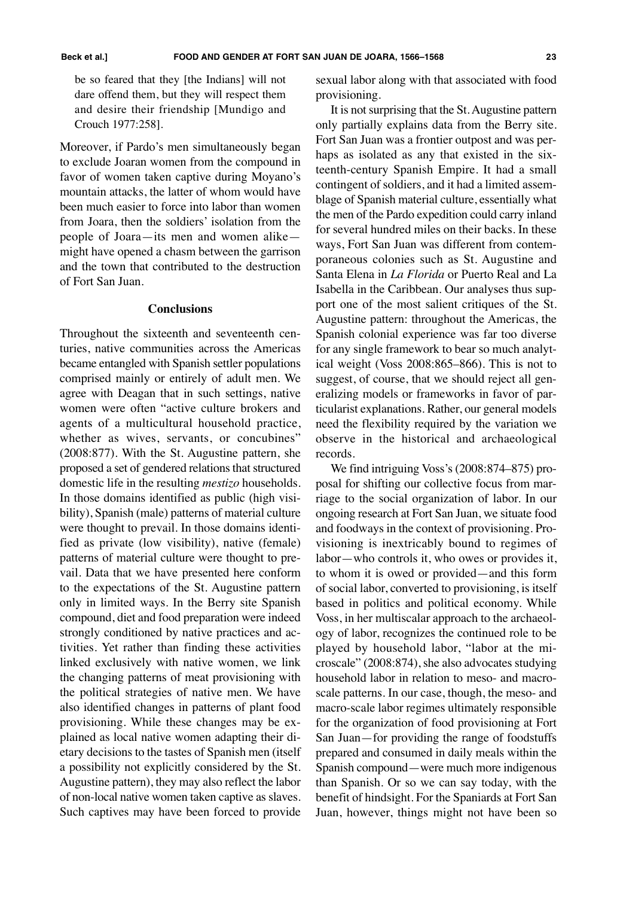be so feared that they [the Indians] will not dare offend them, but they will respect them and desire their friendship [Mundigo and Crouch 1977:258].

Moreover, if Pardo's men simultaneously began to exclude Joaran women from the compound in favor of women taken captive during Moyano's mountain attacks, the latter of whom would have been much easier to force into labor than women from Joara, then the soldiers' isolation from the people of Joara—its men and women alike might have opened a chasm between the garrison and the town that contributed to the destruction of Fort San Juan.

#### **Conclusions**

Throughout the sixteenth and seventeenth centuries, native communities across the Americas became entangled with Spanish settler populations comprised mainly or entirely of adult men. We agree with Deagan that in such settings, native women were often "active culture brokers and agents of a multicultural household practice, whether as wives, servants, or concubines" (2008:877). With the St. Augustine pattern, she proposed a set of gendered relations that structured domestic life in the resulting *mestizo* households. In those domains identified as public (high visibility), Spanish (male) patterns of material culture were thought to prevail. In those domains identified as private (low visibility), native (female) patterns of material culture were thought to prevail. Data that we have presented here conform to the expectations of the St. Augustine pattern only in limited ways. In the Berry site Spanish compound, diet and food preparation were indeed strongly conditioned by native practices and activities. Yet rather than finding these activities linked exclusively with native women, we link the changing patterns of meat provisioning with the political strategies of native men. We have also identified changes in patterns of plant food provisioning. While these changes may be explained as local native women adapting their dietary decisions to the tastes of Spanish men (itself a possibility not explicitly considered by the St. Augustine pattern), they may also reflect the labor of non-local native women taken captive as slaves. Such captives may have been forced to provide sexual labor along with that associated with food provisioning.

It is not surprising that the St. Augustine pattern only partially explains data from the Berry site. Fort San Juan was a frontier outpost and was perhaps as isolated as any that existed in the sixteenth-century Spanish Empire. It had a small contingent of soldiers, and it had a limited assemblage of Spanish material culture, essentially what the men of the Pardo expedition could carry inland for several hundred miles on their backs. In these ways, Fort San Juan was different from contemporaneous colonies such as St. Augustine and Santa Elena in *La Florida* or Puerto Real and La Isabella in the Caribbean. Our analyses thus support one of the most salient critiques of the St. Augustine pattern: throughout the Americas, the Spanish colonial experience was far too diverse for any single framework to bear so much analytical weight (Voss 2008:865–866). This is not to suggest, of course, that we should reject all generalizing models or frameworks in favor of particularist explanations. Rather, our general models need the flexibility required by the variation we observe in the historical and archaeological records.

We find intriguing Voss's (2008:874–875) proposal for shifting our collective focus from marriage to the social organization of labor. In our ongoing research at Fort San Juan, we situate food and foodways in the context of provisioning. Provisioning is inextricably bound to regimes of labor—who controls it, who owes or provides it, to whom it is owed or provided—and this form of social labor, converted to provisioning, is itself based in politics and political economy. While Voss, in her multiscalar approach to the archaeology of labor, recognizes the continued role to be played by household labor, "labor at the microscale" (2008:874), she also advocates studying household labor in relation to meso- and macroscale patterns. In our case, though, the meso- and macro-scale labor regimes ultimately responsible for the organization of food provisioning at Fort San Juan—for providing the range of foodstuffs prepared and consumed in daily meals within the Spanish compound—were much more indigenous than Spanish. Or so we can say today, with the benefit of hindsight. For the Spaniards at Fort San Juan, however, things might not have been so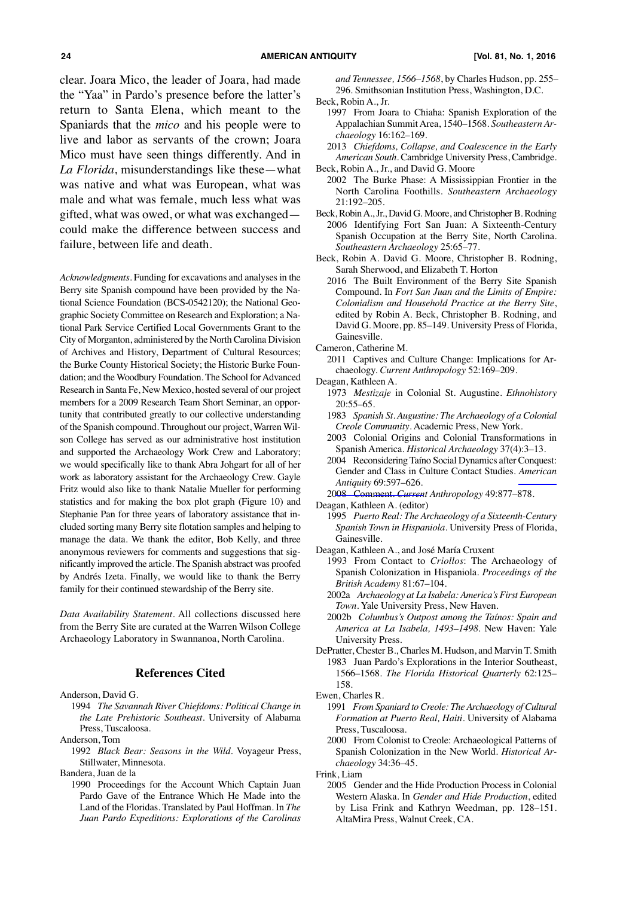clear. Joara Mico, the leader of Joara, had made the "Yaa" in Pardo's presence before the latter's return to Santa Elena, which meant to the Spaniards that the *mico* and his people were to live and labor as servants of the crown; Joara Mico must have seen things differently. And in *La Florida*, misunderstandings like these—what was native and what was European, what was male and what was female, much less what was gifted, what was owed, or what was exchanged—

could make the difference between success and failure, between life and death. Acknowledgments. Funding for excavations and analyses in the Berry site Spanish compound have been provided by the National Science Foundation (BCS-0542120); the National Geographic Society Committee on Research and Exploration; a Na-

tional Park Service Certified Local Governments Grant to the City of Morganton, administered by the North Carolina Division of Archives and History, Department of Cultural Resources; the Burke County Historical Society; the Historic Burke Foundation; and the Woodbury Foundation. The School for Advanced Research in Santa Fe, New Mexico, hosted several of our project members for a 2009 Research Team Short Seminar, an opportunity that contributed greatly to our collective understanding of the Spanish compound. Throughout our project, Warren Wilson College has served as our administrative host institution and supported the Archaeology Work Crew and Laboratory; we would specifically like to thank Abra Johgart for all of her work as laboratory assistant for the Archaeology Crew. Gayle Fritz would also like to thank Natalie Mueller for performing statistics and for making the box plot graph (Figure 10) and Stephanie Pan for three years of laboratory assistance that included sorting many Berry site flotation samples and helping to manage the data. We thank the editor, Bob Kelly, and three anonymous reviewers for comments and suggestions that significantly improved the article. The Spanish abstract was proofed by Andrés Izeta. Finally, we would like to thank the Berry family for their continued stewardship of the Berry site.

*Data Availability Statement*. All collections discussed here from the Berry Site are curated at the Warren Wilson College Archaeology Laboratory in Swannanoa, North Carolina.

#### **References Cited**

Anderson, David G.

- 1994 *The Savannah River Chiefdoms: Political Change in the Late Prehistoric Southeast*. University of Alabama Press, Tuscaloosa.
- Anderson, Tom
- 1992 *Black Bear: Seasons in the Wild*. Voyageur Press, Stillwater, Minnesota.

Bandera, Juan de la

 1990 Proceedings for the Account Which Captain Juan Pardo Gave of the Entrance Which He Made into the Land of the Floridas. Translated by Paul Hoffman. In *The Juan Pardo Expeditions: Explorations of the Carolinas* *and Tennessee, 1566–1568*, by Charles Hudson, pp. 255– 296. Smithsonian Institution Press, Washington, D.C.

Beck, Robin A., Jr.

- 1997 From Joara to Chiaha: Spanish Exploration of the Appalachian SummitArea, 1540–1568. *Southeastern Archaeology* 16:162–169.
- 2013 *Chiefdoms, Collapse, and Coalescence in the Early American South*. Cambridge University Press, Cambridge. Beck, Robin A., Jr., and David G. Moore
- 2002 The Burke Phase: A Mississippian Frontier in the North Carolina Foothills. *Southeastern Archaeology* 21:192–205.
- Beck, RobinA.,Jr., David G. Moore, and Christopher B. Rodning 2006 Identifying Fort San Juan: A Sixteenth-Century Spanish Occupation at the Berry Site, North Carolina. *Southeastern Archaeology* 25:65–77.
- Beck, Robin A. David G. Moore, Christopher B. Rodning, Sarah Sherwood, and Elizabeth T. Horton
	- 2016 The Built Environment of the Berry Site Spanish Compound. In *Fort San Juan and the Limits of Empire: Colonialism and Household Practice at the Berry Site*, edited by Robin A. Beck, Christopher B. Rodning, and David G. Moore, pp. 85–149. University Press of Florida, Gainesville.
- Cameron, Catherine M.
	- 2011 Captives and Culture Change: Implications for Archaeology. *Current Anthropology* 52:169–209.
- Deagan, Kathleen A.
	- 1973 *Mestizaje* in Colonial St. Augustine. *Ethnohistory* 20:55–65.
	- 1983 *Spanish St. Augustine: The Archaeology of a Colonial Creole Community*. Academic Press, New York.
	- 2003 Colonial Origins and Colonial Transformations in Spanish America. *Historical Archaeology* 37(4):3–13.
	- 2004 Reconsidering Taíno Social Dynamics after [Conquest:](http://www.ingentaconnect.com/content/external-references?article=0002-7316()69L.597[aid=9157591]) Gender and Class in Culture Contact Studies. *American [Antiquity](http://www.ingentaconnect.com/content/external-references?article=0002-7316()69L.597[aid=9157591])* [69:597–626.](http://www.ingentaconnect.com/content/external-references?article=0002-7316()69L.597[aid=9157591])
	- 2008 Comment. *Current Anthropology* 49:877–878.
- Deagan, Kathleen A. (editor)
	- 1995 *Puerto Real: The Archaeology of a Sixteenth-Century Spanish Town in Hispaniola*. University Press of Florida, Gainesville.
- Deagan, Kathleen A., and José María Cruxent
	- 1993 From Contact to *Criollos*: The Archaeology of Spanish Colonization in Hispaniola. *Proceedings of the British Academy* 81:67–104.
	- 2002a *Archaeology at La Isabela: America's First European Town*. Yale University Press, New Haven.
	- 2002b *Columbus's Outpost among the Taínos: Spain and America at La Isabela, 1493–1498*. New Haven: Yale University Press.
- DePratter, Chester B., Charles M. Hudson, and Marvin T. Smith 1983 Juan Pardo's Explorations in the Interior Southeast, 1566–1568. *The Florida Historical Quarterly* 62:125– 158.
- Ewen, Charles R.
	- 1991 *From Spaniard to Creole: The Archaeology of Cultural Formation at Puerto Real, Haiti*. University of Alabama Press, Tuscaloosa.
	- 2000 From Colonist to Creole: Archaeological Patterns of Spanish Colonization in the New World. *Historical Archaeology* 34:36–45.

Frink, Liam

 2005 Gender and the Hide Production Process in Colonial Western Alaska. In *Gender and Hide Production*, edited by Lisa Frink and Kathryn Weedman, pp. 128–151. AltaMira Press, Walnut Creek, CA.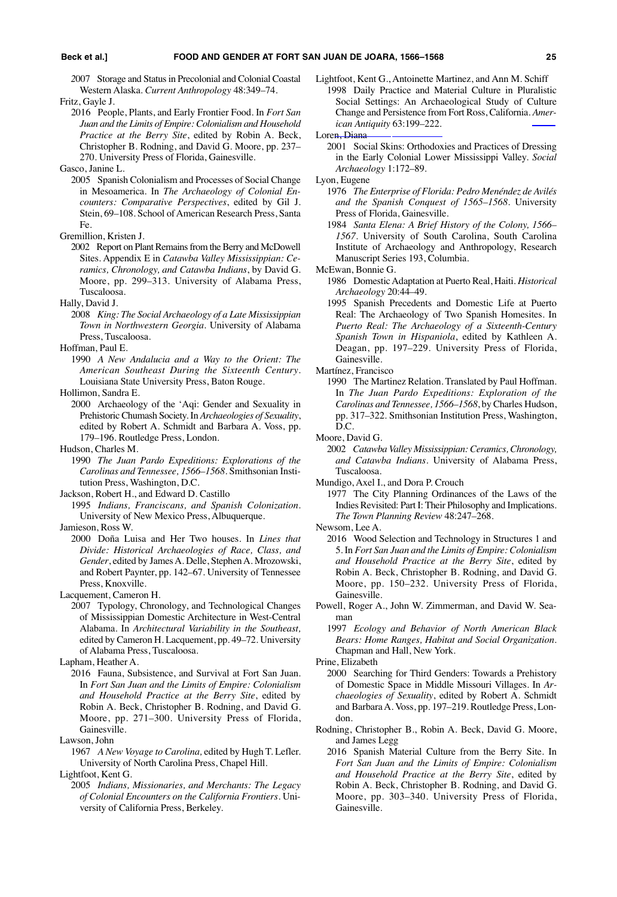2007 Storage and Status in Precolonial and Colonial Coastal Western Alaska. *Current Anthropology* 48:349–74.

- Fritz, Gayle J.
	- 2016 People, Plants, and Early Frontier Food. In *Fort San Juan and the Limits of Empire: Colonialism and Household Practice at the Berry Site*, edited by Robin A. Beck, Christopher B. Rodning, and David G. Moore, pp. 237– 270. University Press of Florida, Gainesville.

 2005 Spanish Colonialism and Processes of Social Change in Mesoamerica. In *The Archaeology of Colonial Encounters: Comparative Perspectives*, edited by Gil J. Stein, 69-108. School of American Research Press, Santa Fe.

- 2002 Report on Plant Remains from the Berry and McDowell Sites. Appendix E in *Catawba Valley Mississippian: Ceramics, Chronology, and Catawba Indians*, by David G. Moore, pp. 299–313. University of Alabama Press, Tuscaloosa.
- Hally, David J.
	- 2008 *King: The Social Archaeology of a Late Mississippian Town in Northwestern Georgia*. University of Alabama Press, Tuscaloosa.
- Hoffman, Paul E.
- 1990 *A New Andalucia and a Way to the Orient: The American Southeast During the Sixteenth Century*. Louisiana State University Press, Baton Rouge.

Hollimon, Sandra E.

- 2000 Archaeology of the 'Aqi: Gender and Sexuality in Prehistoric Chumash Society. In *Archaeologies of Sexuality*, edited by Robert A. Schmidt and Barbara A. Voss, pp. 179–196. Routledge Press, London.
- Hudson, Charles M.
	- 1990 *The Juan Pardo Expeditions: Explorations of the Carolinas and Tennessee, 1566–1568*. Smithsonian Institution Press, Washington, D.C.

Jackson, Robert H., and Edward D. Castillo

 1995 *Indians, Franciscans, and Spanish Colonization*. University of New Mexico Press, Albuquerque.

Jamieson, Ross W.

 2000 Doña Luisa and Her Two houses. In *Lines that Divide: Historical Archaeologies of Race, Class, and* Gender, edited by James A. Delle, Stephen A. Mrozowski, and Robert Paynter, pp. 142–67. University of Tennessee Press, Knoxville.

Lacquement, Cameron H.

 2007 Typology, Chronology, and Technological Changes of Mississippian Domestic Architecture in West-Central Alabama. In *Architectural Variability in the Southeast,* edited by Cameron H. Lacquement, pp. 49–72. University of Alabama Press, Tuscaloosa.

Lapham, Heather A.

- 2016 Fauna, Subsistence, and Survival at Fort San Juan. In *Fort San Juan and the Limits of Empire: Colonialism and Household Practice at the Berry Site*, edited by Robin A. Beck, Christopher B. Rodning, and David G. Moore, pp. 271–300. University Press of Florida, Gainesville.
- Lawson, John

Lightfoot, Kent G.

 2005 *Indians, Missionaries, and Merchants: The Legacy of Colonial Encounters on the California Frontiers*. University of California Press, Berkeley.

Lightfoot, Kent G., Antoinette Martinez, and Ann M. Schiff 1998 Daily Practice and Material Culture in Pluralistic Social Settings: An Archaeological Study of [Culture](http://www.ingentaconnect.com/content/external-references?article=0002-7316()63L.199[aid=1941972]) Change and Persistence from Fort Ross, California. *American [Antiquity](http://www.ingentaconnect.com/content/external-references?article=0002-7316()63L.199[aid=1941972])* [63:199–222.](http://www.ingentaconnect.com/content/external-references?article=0002-7316()63L.199[aid=1941972])

Loren, Diana

 2001 Social Skins: Orthodoxies and Practices of Dressing in the Early Colonial Lower Mississippi Valley. *Social Archaeology* 1:172–89.

Lyon, Eugene

- 1976 *The Enterprise of Florida: Pedro Menéndez de Avilés and the Spanish Conquest of 1565–1568*. University Press of Florida, Gainesville.
- 1984 *Santa Elena: A Brief History of the Colony, 1566– 1567*. University of South Carolina, South Carolina Institute of Archaeology and Anthropology, Research Manuscript Series 193, Columbia.

McEwan, Bonnie G.

- 1986 DomesticAdaptation at Puerto Real, Haiti. *Historical Archaeology* 20:44–49.
- 1995 Spanish Precedents and Domestic Life at Puerto Real: The Archaeology of Two Spanish Homesites. In *Puerto Real: The Archaeology of a Sixteenth-Century Spanish Town in Hispaniola*, edited by Kathleen A. Deagan, pp. 197–229. University Press of Florida, Gainesville.

Martínez, Francisco

 1990 The Martinez Relation. Translated by Paul Hoffman. In *The Juan Pardo Expeditions: Exploration of the Carolinas and Tennessee, 1566–1568*, by Charles Hudson, pp. 317–322. Smithsonian Institution Press, Washington, D.C.

Moore, David G.

 2002 *Catawba Valley Mississippian: Ceramics, Chronology, and Catawba Indians*. University of Alabama Press, Tuscaloosa.

Mundigo, Axel I., and Dora P. Crouch

 1977 The City Planning Ordinances of the Laws of the Indies Revisited: Part I: Their Philosophy and Implications. *The Town Planning Review* 48:247–268.

Newsom, Lee A.

- 2016 Wood Selection and Technology in Structures 1 and 5. In *Fort San Juan and the Limits of Empire: Colonialism and Household Practice at the Berry Site*, edited by Robin A. Beck, Christopher B. Rodning, and David G. Moore, pp. 150–232. University Press of Florida, Gainesville.
- Powell, Roger A., John W. Zimmerman, and David W. Seaman
	- 1997 *Ecology and Behavior of North American Black Bears: Home Ranges, Habitat and Social Organization*. Chapman and Hall, New York.

Prine, Elizabeth

- 2000 Searching for Third Genders: Towards a Prehistory of Domestic Space in Middle Missouri Villages. In *Archaeologies of Sexuality*, edited by Robert A. Schmidt and BarbaraA. Voss, pp. 197–219. Routledge Press, London.
- Rodning, Christopher B., Robin A. Beck, David G. Moore, and James Legg
	- 2016 Spanish Material Culture from the Berry Site. In *Fort San Juan and the Limits of Empire: Colonialism and Household Practice at the Berry Site*, edited by Robin A. Beck, Christopher B. Rodning, and David G. Moore, pp. 303–340. University Press of Florida, Gainesville.

Gasco, Janine L.

Gremillion, Kristen J.

 <sup>1967</sup> *A New Voyage to Carolina,* edited by Hugh T. Lefler. University of North Carolina Press, Chapel Hill.